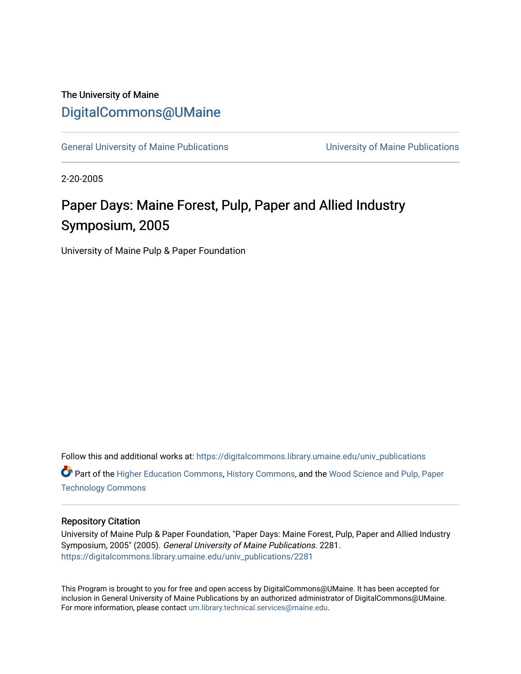### The University of Maine [DigitalCommons@UMaine](https://digitalcommons.library.umaine.edu/)

[General University of Maine Publications](https://digitalcommons.library.umaine.edu/univ_publications) [University of Maine Publications](https://digitalcommons.library.umaine.edu/umaine_publications) 

2-20-2005

# Paper Days: Maine Forest, Pulp, Paper and Allied Industry Symposium, 2005

University of Maine Pulp & Paper Foundation

Follow this and additional works at: [https://digitalcommons.library.umaine.edu/univ\\_publications](https://digitalcommons.library.umaine.edu/univ_publications?utm_source=digitalcommons.library.umaine.edu%2Funiv_publications%2F2281&utm_medium=PDF&utm_campaign=PDFCoverPages)  Part of the [Higher Education Commons,](http://network.bepress.com/hgg/discipline/1245?utm_source=digitalcommons.library.umaine.edu%2Funiv_publications%2F2281&utm_medium=PDF&utm_campaign=PDFCoverPages) [History Commons,](http://network.bepress.com/hgg/discipline/489?utm_source=digitalcommons.library.umaine.edu%2Funiv_publications%2F2281&utm_medium=PDF&utm_campaign=PDFCoverPages) and the [Wood Science and Pulp, Paper](http://network.bepress.com/hgg/discipline/93?utm_source=digitalcommons.library.umaine.edu%2Funiv_publications%2F2281&utm_medium=PDF&utm_campaign=PDFCoverPages)  [Technology Commons](http://network.bepress.com/hgg/discipline/93?utm_source=digitalcommons.library.umaine.edu%2Funiv_publications%2F2281&utm_medium=PDF&utm_campaign=PDFCoverPages) 

#### Repository Citation

University of Maine Pulp & Paper Foundation, "Paper Days: Maine Forest, Pulp, Paper and Allied Industry Symposium, 2005" (2005). General University of Maine Publications. 2281. [https://digitalcommons.library.umaine.edu/univ\\_publications/2281](https://digitalcommons.library.umaine.edu/univ_publications/2281?utm_source=digitalcommons.library.umaine.edu%2Funiv_publications%2F2281&utm_medium=PDF&utm_campaign=PDFCoverPages)

This Program is brought to you for free and open access by DigitalCommons@UMaine. It has been accepted for inclusion in General University of Maine Publications by an authorized administrator of DigitalCommons@UMaine. For more information, please contact [um.library.technical.services@maine.edu](mailto:um.library.technical.services@maine.edu).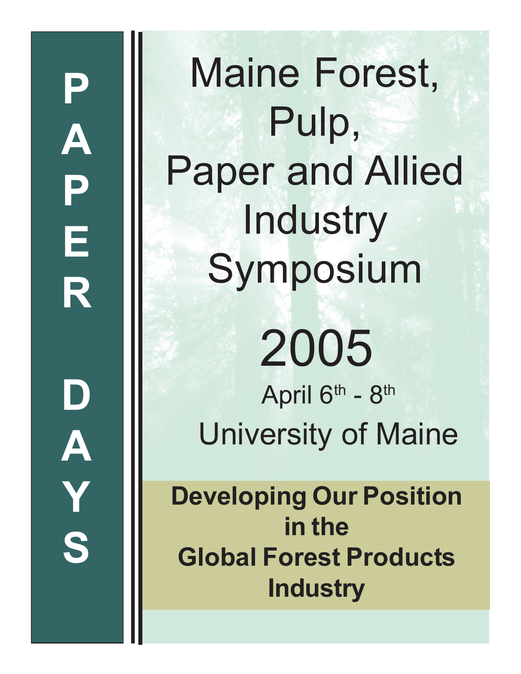Maine Forest, Pulp, Paper and Allied **Industry** Symposium April  $6<sup>th</sup>$  -  $8<sup>th</sup>$ University of Maine 2005

**Developing Our Position in the Global Forest Products Industry**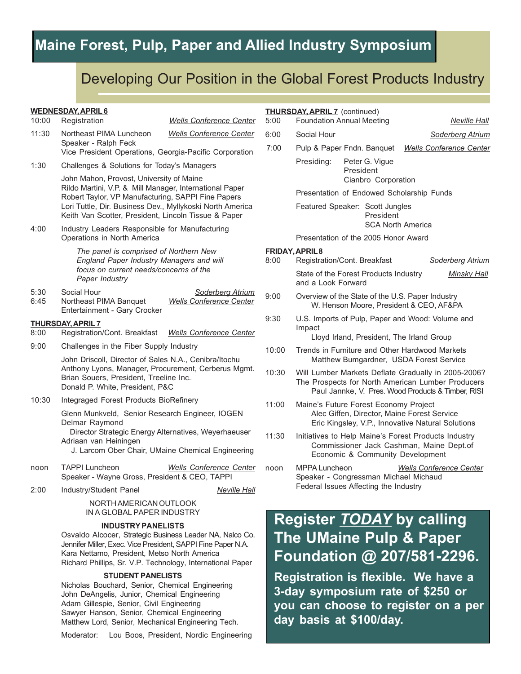# **Maine Forest, Pulp, Paper and Allied Industry Symposium**

### Developing Our Position in the Global Forest Products Industry

| <b>WEDNESDAY, APRIL 6</b><br>10:00<br>Registration<br><b>Wells Conference Center</b> |                                                                                                                                                                                                                                                                                |                                                           | <b>THURSDAY, APRIL 7</b> (continued)<br><b>Foundation Annual Meeting</b><br>5:00<br><b>Neville Hall</b> |                                                                                                                                                                |                                       |                                                              |  |
|--------------------------------------------------------------------------------------|--------------------------------------------------------------------------------------------------------------------------------------------------------------------------------------------------------------------------------------------------------------------------------|-----------------------------------------------------------|---------------------------------------------------------------------------------------------------------|----------------------------------------------------------------------------------------------------------------------------------------------------------------|---------------------------------------|--------------------------------------------------------------|--|
| 11:30                                                                                | Northeast PIMA Luncheon                                                                                                                                                                                                                                                        | <b>Wells Conference Center</b>                            | 6:00                                                                                                    | Social Hour                                                                                                                                                    |                                       | Soderberg Atrium                                             |  |
|                                                                                      | Speaker - Ralph Feck                                                                                                                                                                                                                                                           |                                                           | 7:00                                                                                                    |                                                                                                                                                                | Pulp & Paper Fndn. Banquet            | <b>Wells Conference Center</b>                               |  |
| 1:30                                                                                 | Vice President Operations, Georgia-Pacific Corporation<br>Challenges & Solutions for Today's Managers                                                                                                                                                                          |                                                           |                                                                                                         | Presiding:                                                                                                                                                     | Peter G. Vigue<br>President           |                                                              |  |
|                                                                                      | John Mahon, Provost, University of Maine<br>Rildo Martini, V.P. & Mill Manager, International Paper<br>Robert Taylor, VP Manufacturing, SAPPI Fine Papers<br>Lori Tuttle, Dir. Business Dev., Myllykoski North America<br>Keith Van Scotter, President, Lincoln Tissue & Paper |                                                           |                                                                                                         |                                                                                                                                                                | Cianbro Corporation                   |                                                              |  |
|                                                                                      |                                                                                                                                                                                                                                                                                |                                                           |                                                                                                         | Presentation of Endowed Scholarship Funds                                                                                                                      |                                       |                                                              |  |
|                                                                                      |                                                                                                                                                                                                                                                                                |                                                           |                                                                                                         | Featured Speaker: Scott Jungles<br>President                                                                                                                   |                                       |                                                              |  |
| 4:00                                                                                 | Industry Leaders Responsible for Manufacturing<br>Operations in North America                                                                                                                                                                                                  |                                                           |                                                                                                         |                                                                                                                                                                |                                       | <b>SCA North America</b>                                     |  |
|                                                                                      |                                                                                                                                                                                                                                                                                |                                                           |                                                                                                         |                                                                                                                                                                | Presentation of the 2005 Honor Award  |                                                              |  |
|                                                                                      | The panel is comprised of Northern New<br>England Paper Industry Managers and will<br>focus on current needs/concerns of the                                                                                                                                                   |                                                           | 8:00                                                                                                    | <b>FRIDAY, APRIL8</b>                                                                                                                                          | Registration/Cont. Breakfast          |                                                              |  |
|                                                                                      |                                                                                                                                                                                                                                                                                |                                                           |                                                                                                         |                                                                                                                                                                | State of the Forest Products Industry | Soderberg Atrium                                             |  |
|                                                                                      | Paper Industry                                                                                                                                                                                                                                                                 |                                                           |                                                                                                         | and a Look Forward                                                                                                                                             |                                       | <b>Minsky Hall</b>                                           |  |
| 5:30<br>6:45                                                                         | Social Hour<br>Northeast PIMA Banquet<br>Entertainment - Gary Crocker                                                                                                                                                                                                          | <b>Soderberg Atrium</b><br><b>Wells Conference Center</b> | 9:00                                                                                                    | Overview of the State of the U.S. Paper Industry<br>W. Henson Moore, President & CEO, AF&PA                                                                    |                                       |                                                              |  |
| <b>THURSDAY, APRIL 7</b>                                                             |                                                                                                                                                                                                                                                                                |                                                           | 9:30                                                                                                    | U.S. Imports of Pulp, Paper and Wood: Volume and                                                                                                               |                                       |                                                              |  |
| 8:00                                                                                 | Registration/Cont. Breakfast<br><b>Wells Conference Center</b>                                                                                                                                                                                                                 |                                                           |                                                                                                         | Impact<br>Lloyd Irland, President, The Irland Group                                                                                                            |                                       |                                                              |  |
| 9:00                                                                                 | Challenges in the Fiber Supply Industry                                                                                                                                                                                                                                        |                                                           | 10:00                                                                                                   | Trends in Furniture and Other Hardwood Markets                                                                                                                 |                                       |                                                              |  |
|                                                                                      | John Driscoll, Director of Sales N.A., Cenibra/Itochu<br>Anthony Lyons, Manager, Procurement, Cerberus Mgmt.<br>Brian Souers, President, Treeline Inc.<br>Donald P. White, President, P&C                                                                                      |                                                           |                                                                                                         | Matthew Bumgardner, USDA Forest Service                                                                                                                        |                                       |                                                              |  |
|                                                                                      |                                                                                                                                                                                                                                                                                |                                                           | 10:30                                                                                                   | Will Lumber Markets Deflate Gradually in 2005-2006?<br>The Prospects for North American Lumber Producers<br>Paul Jannke, V. Pres. Wood Products & Timber, RISI |                                       |                                                              |  |
| 10:30                                                                                | Integraged Forest Products BioRefinery                                                                                                                                                                                                                                         |                                                           | 11:00                                                                                                   | Maine's Future Forest Economy Project<br>Alec Giffen, Director, Maine Forest Service<br>Eric Kingsley, V.P., Innovative Natural Solutions                      |                                       |                                                              |  |
|                                                                                      | Glenn Munkveld, Senior Research Engineer, IOGEN<br>Delmar Raymond                                                                                                                                                                                                              |                                                           |                                                                                                         |                                                                                                                                                                |                                       |                                                              |  |
|                                                                                      | Director Strategic Energy Alternatives, Weyerhaeuser<br>Adriaan van Heiningen<br>J. Larcom Ober Chair, UMaine Chemical Engineering                                                                                                                                             |                                                           | 11:30                                                                                                   | Initiatives to Help Maine's Forest Products Industry<br>Commissioner Jack Cashman, Maine Dept.of<br>Economic & Community Development                           |                                       |                                                              |  |
| noon                                                                                 | <b>TAPPI Luncheon</b><br>Speaker - Wayne Gross, President & CEO, TAPPI                                                                                                                                                                                                         | <b>Wells Conference Center</b>                            | noon                                                                                                    | <b>MPPA Luncheon</b><br><b>Wells Conference Center</b><br>Speaker - Congressman Michael Michaud<br>Federal Issues Affecting the Industry                       |                                       |                                                              |  |
| 2:00                                                                                 | Industry/Student Panel                                                                                                                                                                                                                                                         | <b>Neville Hall</b>                                       |                                                                                                         |                                                                                                                                                                |                                       |                                                              |  |
|                                                                                      | NORTH AMERICAN OUTLOOK<br>IN A GLOBAL PAPER INDUSTRY                                                                                                                                                                                                                           |                                                           |                                                                                                         |                                                                                                                                                                |                                       |                                                              |  |
|                                                                                      | <b>INDUSTRY PANELISTS</b><br>Osvaldo Alcocer, Strategic Business Leader NA, Nalco Co.                                                                                                                                                                                          |                                                           |                                                                                                         |                                                                                                                                                                |                                       | <b>Register TODAY</b> by calling<br>Tha IIMaina Puln & Panar |  |

**The UMaine Pulp & Paper Foundation @ 207/581-2296. Registration is flexible. We have a 3-day symposium rate of \$250 or you can choose to register on a per day basis at \$100/day.**

**STUDENT PANELISTS**

Kara Nettamo, President, Metso North America

Nicholas Bouchard, Senior, Chemical Engineering John DeAngelis, Junior, Chemical Engineering Adam Gillespie, Senior, Civil Engineering Sawyer Hanson, Senior, Chemical Engineering Matthew Lord, Senior, Mechanical Engineering Tech.

Jennifer Miller, Exec. Vice President, SAPPI Fine Paper N.A.

Richard Phillips, Sr. V.P. Technology, International Paper

Moderator: Lou Boos, President, Nordic Engineering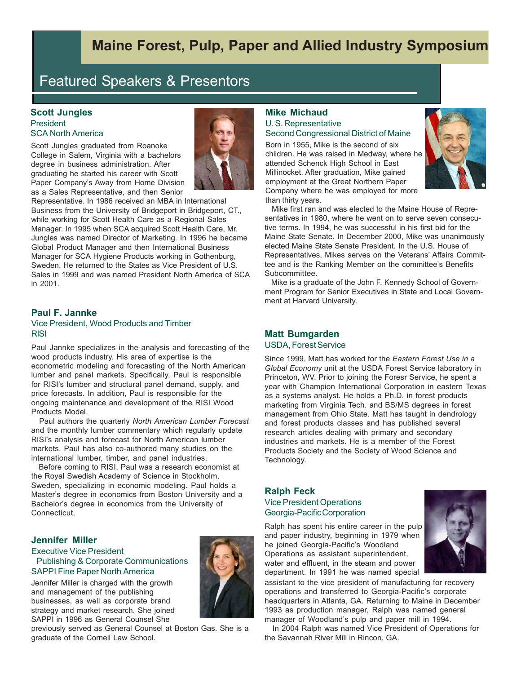## **Maine Forest, Pulp, Paper and Allied Industry Symposium**

## Featured Speakers & Presentors

#### **Scott Jungles President** SCA North America

Scott Jungles graduated from Roanoke College in Salem, Virginia with a bachelors degree in business administration. After graduating he started his career with Scott Paper Company's Away from Home Division as a Sales Representative, and then Senior



Representative. In 1986 received an MBA in International Business from the University of Bridgeport in Bridgeport, CT., while working for Scott Health Care as a Regional Sales Manager. In 1995 when SCA acquired Scott Health Care, Mr. Jungles was named Director of Marketing. In 1996 he became Global Product Manager and then International Business Manager for SCA Hygiene Products working in Gothenburg, Sweden. He returned to the States as Vice President of U.S. Sales in 1999 and was named President North America of SCA in 2001.

#### **Paul F. Jannke**

#### Vice President, Wood Products and Timber RISI

Paul Jannke specializes in the analysis and forecasting of the wood products industry. His area of expertise is the econometric modeling and forecasting of the North American lumber and panel markets. Specifically, Paul is responsible for RISI's lumber and structural panel demand, supply, and price forecasts. In addition, Paul is responsible for the ongoing maintenance and development of the RISI Wood Products Model.

 Paul authors the quarterly *North American Lumber Forecast* and the monthly lumber commentary which regularly update RISI's analysis and forecast for North American lumber markets. Paul has also co-authored many studies on the international lumber, timber, and panel industries.

 Before coming to RISI, Paul was a research economist at the Royal Swedish Academy of Science in Stockholm, Sweden, specializing in economic modeling. Paul holds a Master's degree in economics from Boston University and a Bachelor's degree in economics from the University of Connecticut.

#### **Jennifer Miller**

#### Executive Vice President Publishing & Corporate Communications SAPPI Fine Paper North America

Jennifer Miller is charged with the growth and management of the publishing businesses, as well as corporate brand strategy and market research. She joined SAPPI in 1996 as General Counsel She

previously served as General Counsel at Boston Gas. She is a graduate of the Cornell Law School.

### **Mike Michaud**

#### U. S. Representative Second Congressional District of Maine

Born in 1955, Mike is the second of six children. He was raised in Medway, where he attended Schenck High School in East Millinocket. After graduation, Mike gained employment at the Great Northern Paper Company where he was employed for more than thirty years.



 Mike first ran and was elected to the Maine House of Representatives in 1980, where he went on to serve seven consecutive terms. In 1994, he was successful in his first bid for the Maine State Senate. In December 2000, Mike was unanimously elected Maine State Senate President. In the U.S. House of Representatives, Mikes serves on the Veterans' Affairs Committee and is the Ranking Member on the committee's Benefits Subcommittee.

 Mike is a graduate of the John F. Kennedy School of Government Program for Senior Executives in State and Local Government at Harvard University.

### **Matt Bumgarden**

USDA, Forest Service

Since 1999, Matt has worked for the *Eastern Forest Use in a Global Economy* unit at the USDA Forest Service laboratory in Princeton, WV. Prior to joining the Foresr Service, he spent a year with Champion International Corporation in eastern Texas as a systems analyst. He holds a Ph.D. in forest products marketing from Virginia Tech. and BS/MS degrees in forest management from Ohio State. Matt has taught in dendrology and forest products classes and has published several research articles dealing with primary and secondary industries and markets. He is a member of the Forest Products Society and the Society of Wood Science and Technology.

#### **Ralph Feck**

#### Vice President Operations Georgia-Pacific Corporation

Ralph has spent his entire career in the pulp and paper industry, beginning in 1979 when he joined Georgia-Pacific's Woodland Operations as assistant superintendent, water and effluent, in the steam and power department. In 1991 he was named special



assistant to the vice president of manufacturing for recovery operations and transferred to Georgia-Pacific's corporate headquarters in Atlanta, GA. Returning to Maine in December 1993 as production manager, Ralph was named general manager of Woodland's pulp and paper mill in 1994.

 In 2004 Ralph was named Vice President of Operations for the Savannah River Mill in Rincon, GA.